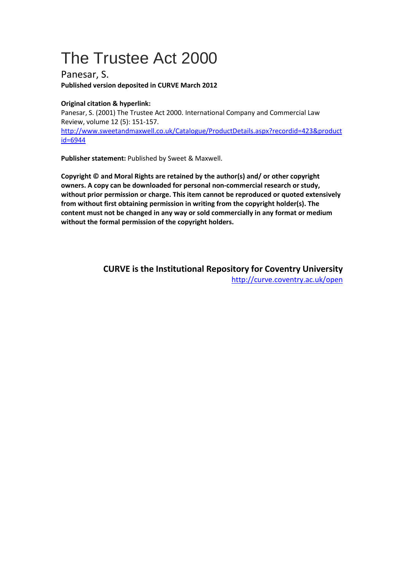# The Trustee Act 2000

Panesar, S. **Published version deposited in CURVE March 2012** 

# **Original citation & hyperlink:**

Panesar, S. (2001) The Trustee Act 2000. International Company and Commercial Law Review, volume 12 (5): 151-157. http://www.sweetandmaxwell.co.uk/Catalogue/ProductDetails.aspx?recordid=423&product id=6944

**Publisher statement:** Published by Sweet & Maxwell.

**Copyright © and Moral Rights are retained by the author(s) and/ or other copyright owners. A copy can be downloaded for personal non-commercial research or study, without prior permission or charge. This item cannot be reproduced or quoted extensively from without first obtaining permission in writing from the copyright holder(s). The content must not be changed in any way or sold commercially in any format or medium without the formal permission of the copyright holders.** 

> **CURVE is the Institutional Repository for Coventry University** http://curve.coventry.ac.uk/open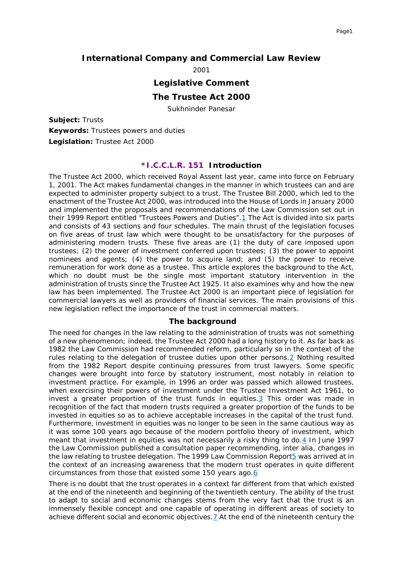## **International Company and Commercial Law Review**

2001

#### **Legislative Comment**

#### **The Trustee Act 2000**

Sukhninder Panesar

**Subject:** Trusts **Keywords:** Trustees powers and duties **Legislation:** Trustee Act 2000

#### *\*I.C.C.L.R. 151* **Introduction**

The Trustee Act 2000, which received Royal Assent last year, came into force on February 1, 2001. The Act makes fundamental changes in the manner in which trustees can and are expected to administer property subject to a trust. The Trustee Bill 2000, which led to the enactment of the Trustee Act 2000, was introduced into the House of Lords in January 2000 and implemented the proposals and recommendations of the Law Commission set out in their 1999 Report entitled "Trustees Powers and Duties"[.1](#page-8-0) The Act is divided into six parts and consists of 43 sections and four schedules. The main thrust of the legislation focuses on five areas of trust law which were thought to be unsatisfactory for the purposes of administering modern trusts. These five areas are (1) the duty of care imposed upon trustees; (2) the power of investment conferred upon trustees; (3) the power to appoint nominees and agents; (4) the power to acquire land; and (5) the power to receive remuneration for work done as a trustee. This article explores the background to the Act, which no doubt must be the single most important statutory intervention in the administration of trusts since the Trustee Act 1925. It also examines why and how the new law has been implemented. The Trustee Act 2000 is an important piece of legislation for commercial lawyers as well as providers of financial services. The main provisions of this new legislation reflect the importance of the trust in commercial matters.

#### **The background**

The need for changes in the law relating to the administration of trusts was not something of a new phenomenon; indeed, the Trustee Act 2000 had a long history to it. As far back as 1982 the Law Commission had recommended reform, particularly so in the context of the rules relating to the delegation of trustee duties upon other persons[.2](#page-8-1) Nothing resulted from the 1982 Report despite continuing pressures from trust lawyers. Some specific changes were brought into force by statutory instrument, most notably in relation to investment practice. For example, in 1996 an order was passed which allowed trustees, when exercising their powers of investment under the Trustee Investment Act 1961, to invest a greater proportion of the trust funds in equities. $3$  This order was made in recognition of the fact that modern trusts required a greater proportion of the funds to be invested in equities so as to achieve acceptable increases in the capital of the trust fund. Furthermore, investment in equities was no longer to be seen in the same cautious way as it was some 100 years ago because of the modern portfolio theory of investment, which meant that investment in equities was not necessarily a risky thing to do. $4$  In June 1997 the Law Commission published a consultation paper recommending, *inter alia,* changes in the law relating to trustee delegation. The 1999 Law Commission Report<sup>5</sup> was arrived at in the context of an increasing awareness that the modern trust operates in quite different circumstances from those that existed some 150 years ago[.6](#page-8-5)

There is no doubt that the trust operates in a context far different from that which existed at the end of the nineteenth and beginning of the twentieth century. The ability of the trust to adapt to social and economic changes stems from the very fact that the trust is an immensely flexible concept and one capable of operating in different areas of society to achieve different social and economic objectives[.7](#page-8-6) At the end of the nineteenth century the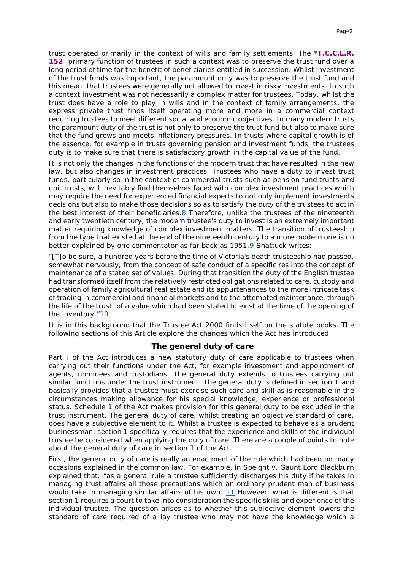trust operated primarily in the context of wills and family settlements. The *\*I.C.C.L.R. 152* primary function of trustees in such a context was to preserve the trust fund over a long period of time for the benefit of beneficiaries entitled in succession. Whilst investment of the trust funds was important, the paramount duty was to preserve the trust fund and this meant that trustees were generally not allowed to invest in risky investments. In such a context investment was not necessarily a complex matter for trustees. Today, whilst the trust does have a role to play in wills and in the context of family arrangements, the express private trust finds itself operating more and more in a commercial context requiring trustees to meet different social and economic objectives. In many modern trusts the paramount duty of the trust is not only to preserve the trust fund but also to make sure that the fund grows and meets inflationary pressures. In trusts where capital growth is of the essence, for example in trusts governing pension and investment funds, the trustees duty is to make sure that there is satisfactory growth in the capital value of the fund.

It is not only the changes in the functions of the modern trust that have resulted in the new law, but also changes in investment practices. Trustees who have a duty to invest trust funds, particularly so in the context of commercial trusts such as pension fund trusts and unit trusts, will inevitably find themselves faced with complex investment practices which may require the need for experienced financial experts to not only implement investments decisions but also to make those decisions so as to satisfy the duty of the trustees to act in the best interest of their beneficiaries[.8](#page-8-7) Therefore, unlike the trustees of the nineteenth and early twentieth century, the modern trustee's duty to invest is an extremely important matter requiring knowledge of complex investment matters. The transition of trusteeship from the type that existed at the end of the nineteenth century to a more modern one is no better explained by one commentator as far back as  $1951.9$  $1951.9$  Shattuck writes:

"[T]o be sure, a hundred years before the time of Victoria's death trusteeship had passed, somewhat nervously, from the concept of safe conduct of a specific *res* into the concept of maintenance of a stated set of values. During that transition the duty of the English trustee had transformed itself from the relatively restricted obligations related to care, custody and operation of family agricultural real estate and its appurtenances to the more intricate task of trading in commercial and financial markets and to the attempted maintenance, through the life of the trust, of a value which had been stated to exist at the time of the opening of the inventory.["10](#page-8-9)

It is in this background that the Trustee Act 2000 finds itself on the statute books. The following sections of this Article explore the changes which the Act has introduced

#### **The general duty of care**

Part I of the Act introduces a new statutory duty of care applicable to trustees when carrying out their functions under the Act, for example investment and appointment of agents, nominees and custodians. The general duty extends to trustees carrying out similar functions under the trust instrument. The general duty is defined in section 1 and basically provides that a trustee must exercise such care and skill as is reasonable in the circumstances making allowance for his special knowledge, experience or professional status. Schedule 1 of the Act makes provision for this general duty to be excluded in the trust instrument. The general duty of care, whilst creating an objective standard of care, does have a subjective element to it. Whilst a trustee is expected to behave as a prudent businessman, section 1 specifically requires that the experience and skills of the individual trustee be considered when applying the duty of care. There are a couple of points to note about the general duty of care in section 1 of the Act.

First, the general duty of care is really an enactment of the rule which had been on many occasions explained in the common law. For example, in *Speight v. Gaunt* Lord Blackburn explained that: "as a general rule a trustee sufficiently discharges his duty if he takes in managing trust affairs all those precautions which an ordinary prudent man of business would take in managing similar affairs of his own.["11](#page-8-10) However, what is different is that section 1 requires a court to take into consideration the specific skills and experience of the individual trustee. The question arises as to whether this subjective element lowers the standard of care required of a lay trustee who may not have the knowledge which a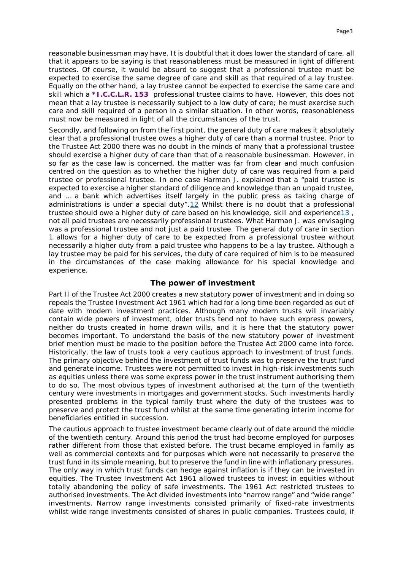reasonable businessman may have. It is doubtful that it does lower the standard of care, all that it appears to be saying is that reasonableness must be measured in light of different trustees. Of course, it would be absurd to suggest that a professional trustee must be expected to exercise the same degree of care and skill as that required of a lay trustee. Equally on the other hand, a lay trustee cannot be expected to exercise the same care and skill which a *\*I.C.C.L.R. 153* professional trustee claims to have. However, this does not mean that a lay trustee is necessarily subject to a low duty of care; he must exercise such care and skill required of a person in a similar situation. In other words, reasonableness must now be measured in light of all the circumstances of the trust.

Secondly, and following on from the first point, the general duty of care makes it absolutely clear that a professional trustee owes a higher duty of care than a normal trustee. Prior to the Trustee Act 2000 there was no doubt in the minds of many that a professional trustee should exercise a higher duty of care than that of a reasonable businessman. However, in so far as the case law is concerned, the matter was far from clear and much confusion centred on the question as to whether the higher duty of care was required from a paid trustee or professional trustee. In one case Harman J. explained that a "paid trustee is expected to exercise a higher standard of diligence and knowledge than an unpaid trustee, and … a bank which advertises itself largely in the public press as taking charge of administrations is under a special duty"[.12](#page-8-11) Whilst there is no doubt that a professional trustee should owe a higher duty of care based on his knowledge, skill and experienc[e13](#page-9-0) , not all paid trustees are necessarily professional trustees. What Harman J. was envisaging was a professional trustee and not just a paid trustee. The general duty of care in section 1 allows for a higher duty of care to be expected from a professional trustee without necessarily a higher duty from a paid trustee who happens to be a lay trustee. Although a lay trustee may be paid for his services, the duty of care required of him is to be measured in the circumstances of the case making allowance for his special knowledge and experience.

## **The power of investment**

Part II of the Trustee Act 2000 creates a new statutory power of investment and in doing so repeals the Trustee Investment Act 1961 which had for a long time been regarded as out of date with modern investment practices. Although many modern trusts will invariably contain wide powers of investment, older trusts tend not to have such express powers, neither do trusts created in home drawn wills, and it is here that the statutory power becomes important. To understand the basis of the new statutory power of investment brief mention must be made to the position before the Trustee Act 2000 came into force. Historically, the law of trusts took a very cautious approach to investment of trust funds. The primary objective behind the investment of trust funds was to preserve the trust fund and generate income. Trustees were not permitted to invest in high-risk investments such as equities unless there was some express power in the trust instrument authorising them to do so. The most obvious types of investment authorised at the turn of the twentieth century were investments in mortgages and government stocks. Such investments hardly presented problems in the typical family trust where the duty of the trustees was to preserve and protect the trust fund whilst at the same time generating interim income for beneficiaries entitled in succession.

The cautious approach to trustee investment became clearly out of date around the middle of the twentieth century. Around this period the trust had become employed for purposes rather different from those that existed before. The trust became employed in family as well as commercial contexts and for purposes which were not necessarily to preserve the trust fund in its simple meaning, but to preserve the fund in line with inflationary pressures. The only way in which trust funds can hedge against inflation is if they can be invested in equities. The Trustee Investment Act 1961 allowed trustees to invest in equities without totally abandoning the policy of safe investments. The 1961 Act restricted trustees to authorised investments. The Act divided investments into "narrow range" and "wide range" investments. Narrow range investments consisted primarily of fixed-rate investments whilst wide range investments consisted of shares in public companies. Trustees could, if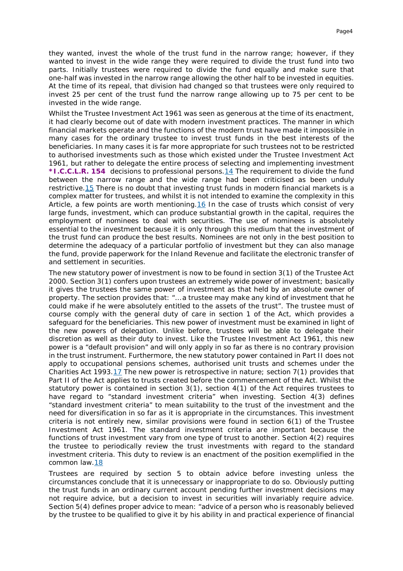they wanted, invest the whole of the trust fund in the narrow range; however, if they wanted to invest in the wide range they were required to divide the trust fund into two parts. Initially trustees were required to divide the fund equally and make sure that one-half was invested in the narrow range allowing the other half to be invested in equities. At the time of its repeal, that division had changed so that trustees were only required to invest 25 per cent of the trust fund the narrow range allowing up to 75 per cent to be invested in the wide range.

Whilst the Trustee Investment Act 1961 was seen as generous at the time of its enactment, it had clearly become out of date with modern investment practices. The manner in which financial markets operate and the functions of the modern trust have made it impossible in many cases for the ordinary trustee to invest trust funds in the best interests of the beneficiaries. In many cases it is far more appropriate for such trustees not to be restricted to authorised investments such as those which existed under the Trustee Investment Act 1961, but rather to delegate the entire process of selecting and implementing investment *\*I.C.C.L.R. 154* decisions to professional persons[.14](#page-9-1) The requirement to divide the fund between the narrow range and the wide range had been criticised as been unduly restrictive. 15 There is no doubt that investing trust funds in modern financial markets is a complex matter for trustees, and whilst it is not intended to examine the complexity in this Article, a few points are worth mentioning[.16](#page-9-3) In the case of trusts which consist of very large funds, investment, which can produce substantial growth in the capital, requires the employment of nominees to deal with securities. The use of nominees is absolutely essential to the investment because it is only through this medium that the investment of the trust fund can produce the best results. Nominees are not only in the best position to determine the adequacy of a particular portfolio of investment but they can also manage the fund, provide paperwork for the Inland Revenue and facilitate the electronic transfer of and settlement in securities.

The new statutory power of investment is now to be found in section 3(1) of the Trustee Act 2000. Section 3(1) confers upon trustees an extremely wide power of investment; basically it gives the trustees the same power of investment as that held by an absolute owner of property. The section provides that: "… a trustee may make any kind of investment that he could make if he were absolutely entitled to the assets of the trust". The trustee must of course comply with the general duty of care in section 1 of the Act, which provides a safeguard for the beneficiaries. This new power of investment must be examined in light of the new powers of delegation. Unlike before, trustees will be able to delegate their discretion as well as their duty to invest. Like the Trustee Investment Act 1961, this new power is a "default provision" and will only apply in so far as there is no contrary provision in the trust instrument. Furthermore, the new statutory power contained in Part II does not apply to occupational pensions schemes, authorised unit trusts and schemes under the Charities Act 1993[.17](#page-9-4) The new power is retrospective in nature; section  $7(1)$  provides that Part II of the Act applies to trusts created before the commencement of the Act. Whilst the statutory power is contained in section 3(1), section 4(1) of the Act requires trustees to have regard to "standard investment criteria" when investing. Section 4(3) defines "standard investment criteria" to mean suitability to the trust of the investment and the need for diversification in so far as it is appropriate in the circumstances. This investment criteria is not entirely new, similar provisions were found in section 6(1) of the Trustee Investment Act 1961. The standard investment criteria are important because the functions of trust investment vary from one type of trust to another. Section 4(2) requires the trustee to periodically review the trust investments with regard to the standard investment criteria. This duty to review is an enactment of the position exemplified in the common law[.18](#page-9-5)

Trustees are required by section 5 to obtain advice before investing unless the circumstances conclude that it is unnecessary or inappropriate to do so. Obviously putting the trust funds in an ordinary current account pending further investment decisions may not require advice, but a decision to invest in securities will invariably require advice. Section 5(4) defines proper advice to mean: "advice of a person who is reasonably believed by the trustee to be qualified to give it by his ability in and practical experience of financial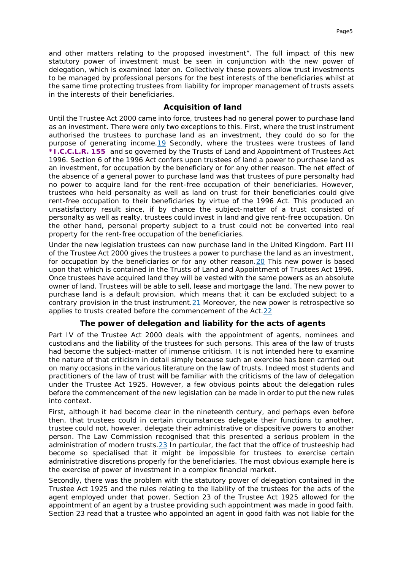and other matters relating to the proposed investment". The full impact of this new statutory power of investment must be seen in conjunction with the new power of delegation, which is examined later on. Collectively these powers allow trust investments to be managed by professional persons for the best interests of the beneficiaries whilst at the same time protecting trustees from liability for improper management of trusts assets in the interests of their beneficiaries.

#### **Acquisition of land**

Until the Trustee Act 2000 came into force, trustees had no general power to purchase land as an investment. There were only two exceptions to this. First, where the trust instrument authorised the trustees to purchase land as an investment, they could do so for the purpose of generating income[.19](#page-9-6) Secondly, where the trustees were trustees of land *\*I.C.C.L.R. 155* and so governed by the Trusts of Land and Appointment of Trustees Act 1996. Section 6 of the 1996 Act confers upon trustees of land a power to purchase land as an investment, for occupation by the beneficiary or for any other reason. The net effect of the absence of a general power to purchase land was that trustees of pure personalty had no power to acquire land for the rent-free occupation of their beneficiaries. However, trustees who held personalty as well as land on trust for their beneficiaries could give rent-free occupation to their beneficiaries by virtue of the 1996 Act. This produced an unsatisfactory result since, if by chance the subject-matter of a trust consisted of personalty as well as realty, trustees could invest in land and give rent-free occupation. On the other hand, personal property subject to a trust could not be converted into real property for the rent-free occupation of the beneficiaries.

Under the new legislation trustees can now purchase land in the United Kingdom. Part III of the Trustee Act 2000 gives the trustees a power to purchase the land as an investment, for occupation by the beneficiaries or for any other reason. 20 This new power is based upon that which is contained in the Trusts of Land and Appointment of Trustees Act 1996. Once trustees have acquired land they will be vested with the same powers as an absolute owner of land. Trustees will be able to sell, lease and mortgage the land. The new power to purchase land is a default provision, which means that it can be excluded subject to a contrary provision in the trust instrument[.21](#page-9-8) Moreover, the new power is retrospective so applies to trusts created before the commencement of the Act[.22](#page-9-9)

# **The power of delegation and liability for the acts of agents**

Part IV of the Trustee Act 2000 deals with the appointment of agents, nominees and custodians and the liability of the trustees for such persons. This area of the law of trusts had become the subject-matter of immense criticism. It is not intended here to examine the nature of that criticism in detail simply because such an exercise has been carried out on many occasions in the various literature on the law of trusts. Indeed most students and practitioners of the law of trust will be familiar with the criticisms of the law of delegation under the Trustee Act 1925. However, a few obvious points about the delegation rules before the commencement of the new legislation can be made in order to put the new rules into context.

First, although it had become clear in the nineteenth century, and perhaps even before then, that trustees could in certain circumstances delegate their functions to another, trustee could not, however, delegate their administrative or dispositive powers to another person. The Law Commission recognised that this presented a serious problem in the administration of modern trusts. 23 In particular, the fact that the office of trusteeship had become so specialised that it might be impossible for trustees to exercise certain administrative discretions properly for the beneficiaries. The most obvious example here is the exercise of power of investment in a complex financial market.

Secondly, there was the problem with the statutory power of delegation contained in the Trustee Act 1925 and the rules relating to the liability of the trustees for the acts of the agent employed under that power. Section 23 of the Trustee Act 1925 allowed for the appointment of an agent by a trustee providing such appointment was made in good faith. Section 23 read that a trustee who appointed an agent in good faith was not liable for the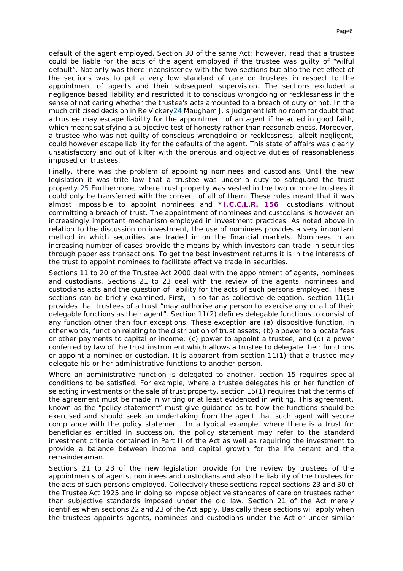default of the agent employed. Section 30 of the same Act; however, read that a trustee could be liable for the acts of the agent employed if the trustee was guilty of "wilful default". Not only was there inconsistency with the two sections but also the net effect of the sections was to put a very low standard of care on trustees in respect to the appointment of agents and their subsequent supervision. The sections excluded a negligence based liability and restricted it to conscious wrongdoing or recklessness in the sense of not caring whether the trustee's acts amounted to a breach of duty or not. In the much criticised decision in *Re Vickery*[24](#page-9-11) Maugham J.'s judgment left no room for doubt that a trustee may escape liability for the appointment of an agent if he acted in good faith, which meant satisfying a subjective test of honesty rather than reasonableness. Moreover, a trustee who was not guilty of conscious wrongdoing or recklessness, albeit negligent, could however escape liability for the defaults of the agent. This state of affairs was clearly unsatisfactory and out of kilter with the onerous and objective duties of reasonableness imposed on trustees.

Finally, there was the problem of appointing nominees and custodians. Until the new legislation it was trite law that a trustee was under a duty to safeguard the trust property[.25](#page-9-12) Furthermore, where trust property was vested in the two or more trustees it could only be transferred with the consent of all of them. These rules meant that it was almost impossible to appoint nominees and *\*I.C.C.L.R. 156* custodians without committing a breach of trust. The appointment of nominees and custodians is however an increasingly important mechanism employed in investment practices. As noted above in relation to the discussion on investment, the use of nominees provides a very important method in which securities are traded in on the financial markets. Nominees in an increasing number of cases provide the means by which investors can trade in securities through paperless transactions. To get the best investment returns it is in the interests of the trust to appoint nominees to facilitate effective trade in securities.

Sections 11 to 20 of the Trustee Act 2000 deal with the appointment of agents, nominees and custodians. Sections 21 to 23 deal with the review of the agents, nominees and custodians acts and the question of liability for the acts of such persons employed. These sections can be briefly examined. First, in so far as collective delegation, section 11(1) provides that trustees of a trust "may authorise any person to exercise any or all of their delegable functions as their agent". Section 11(2) defines delegable functions to consist of any function other than four exceptions. These exception are (a) dispositive function, in other words, function relating to the distribution of trust assets; (b) a power to allocate fees or other payments to capital or income; (c) power to appoint a trustee; and (d) a power conferred by law of the trust instrument which allows a trustee to delegate their functions or appoint a nominee or custodian. It is apparent from section 11(1) that a trustee may delegate his or her administrative functions to another person.

Where an administrative function is delegated to another, section 15 requires special conditions to be satisfied. For example, where a trustee delegates his or her function of selecting investments or the sale of trust property, section 15(1) requires that the terms of the agreement must be made in writing or at least evidenced in writing. This agreement, known as the "policy statement" must give guidance as to how the functions should be exercised and should seek an undertaking from the agent that such agent will secure compliance with the policy statement. In a typical example, where there is a trust for beneficiaries entitled in succession, the policy statement may refer to the standard investment criteria contained in Part II of the Act as well as requiring the investment to provide a balance between income and capital growth for the life tenant and the remainderaman.

Sections 21 to 23 of the new legislation provide for the review by trustees of the appointments of agents, nominees and custodians and also the liability of the trustees for the acts of such persons employed. Collectively these sections repeal sections 23 and 30 of the Trustee Act 1925 and in doing so impose objective standards of care on trustees rather than subjective standards imposed under the old law. Section 21 of the Act merely identifies when sections 22 and 23 of the Act apply. Basically these sections will apply when the trustees appoints agents, nominees and custodians under the Act or under similar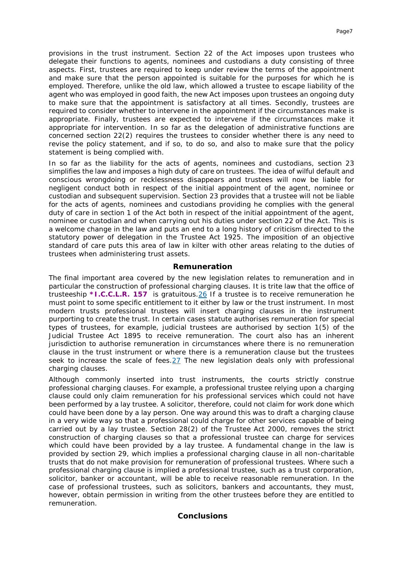provisions in the trust instrument. Section 22 of the Act imposes upon trustees who delegate their functions to agents, nominees and custodians a duty consisting of three aspects. First, trustees are required to keep under review the terms of the appointment and make sure that the person appointed is suitable for the purposes for which he is employed. Therefore, unlike the old law, which allowed a trustee to escape liability of the agent who was employed in good faith, the new Act imposes upon trustees an ongoing duty to make sure that the appointment is satisfactory at all times. Secondly, trustees are required to consider whether to intervene in the appointment if the circumstances make is appropriate. Finally, trustees are expected to intervene if the circumstances make it appropriate for intervention. In so far as the delegation of administrative functions are concerned section 22(2) requires the trustees to consider whether there is any need to revise the policy statement, and if so, to do so, and also to make sure that the policy statement is being complied with.

In so far as the liability for the acts of agents, nominees and custodians, section 23 simplifies the law and imposes a high duty of care on trustees. The idea of wilful default and conscious wrongdoing or recklessness disappears and trustees will now be liable for negligent conduct both in respect of the initial appointment of the agent, nominee or custodian and subsequent supervision. Section 23 provides that a trustee will not be liable for the acts of agents, nominees and custodians providing he complies with the general duty of care in section 1 of the Act both in respect of the initial appointment of the agent, nominee or custodian and when carrying out his duties under section 22 of the Act. This is a welcome change in the law and puts an end to a long history of criticism directed to the statutory power of delegation in the Trustee Act 1925. The imposition of an objective standard of care puts this area of law in kilter with other areas relating to the duties of trustees when administering trust assets.

#### **Remuneration**

The final important area covered by the new legislation relates to remuneration and in particular the construction of professional charging clauses. It is trite law that the office of trusteeship *\*I.C.C.L.R. 157* is gratuitous[.26](#page-9-13) If a trustee is to receive remuneration he must point to some specific entitlement to it either by law or the trust instrument. In most modern trusts professional trustees will insert charging clauses in the instrument purporting to create the trust. In certain cases statute authorises remuneration for special types of trustees, for example, judicial trustees are authorised by section 1(5) of the Judicial Trustee Act 1895 to receive remuneration. The court also has an inherent jurisdiction to authorise remuneration in circumstances where there is no remuneration clause in the trust instrument or where there is a remuneration clause but the trustees seek to increase the scale of fees[.27](#page-9-14) The new legislation deals only with professional charging clauses.

Although commonly inserted into trust instruments, the courts strictly construe professional charging clauses. For example, a professional trustee relying upon a charging clause could only claim remuneration for his professional services which could not have been performed by a lay trustee. A solicitor, therefore, could not claim for work done which could have been done by a lay person. One way around this was to draft a charging clause in a very wide way so that a professional could charge for other services capable of being carried out by a lay trustee. Section 28(2) of the Trustee Act 2000, removes the strict construction of charging clauses so that a professional trustee can charge for services which could have been provided by a lay trustee. A fundamental change in the law is provided by section 29, which implies a professional charging clause in all non-charitable trusts that do not make provision for remuneration of professional trustees. Where such a professional charging clause is implied a professional trustee, such as a trust corporation, solicitor, banker or accountant, will be able to receive reasonable remuneration. In the case of professional trustees, such as solicitors, bankers and accountants, they must, however, obtain permission in writing from the other trustees before they are entitled to remuneration.

# **Conclusions**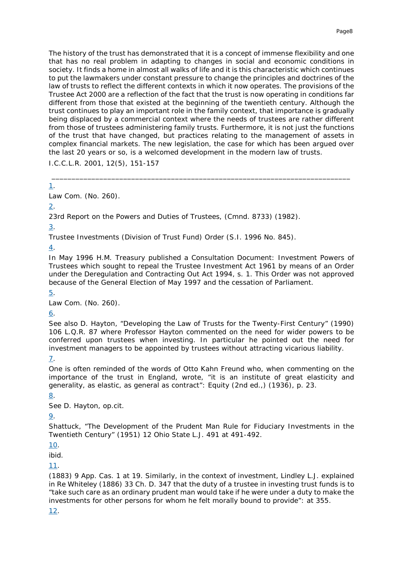The history of the trust has demonstrated that it is a concept of immense flexibility and one that has no real problem in adapting to changes in social and economic conditions in society. It finds a home in almost all walks of life and it is this characteristic which continues to put the lawmakers under constant pressure to change the principles and doctrines of the law of trusts to reflect the different contexts in which it now operates. The provisions of the Trustee Act 2000 are a reflection of the fact that the trust is now operating in conditions far different from those that existed at the beginning of the twentieth century. Although the trust continues to play an important role in the family context, that importance is gradually being displaced by a commercial context where the needs of trustees are rather different from those of trustees administering family trusts. Furthermore, it is not just the functions of the trust that have changed, but practices relating to the management of assets in complex financial markets. The new legislation, the case for which has been argued over the last 20 years or so, is a welcomed development in the modern law of trusts.

\_\_\_\_\_\_\_\_\_\_\_\_\_\_\_\_\_\_\_\_\_\_\_\_\_\_\_\_\_\_\_\_\_\_\_\_\_\_\_\_\_\_\_\_\_\_\_\_\_\_\_\_\_\_\_\_\_\_\_\_\_\_\_\_\_\_\_\_\_\_\_\_\_\_\_

I.C.C.L.R. 2001, 12(5), 151-157

# <span id="page-8-0"></span>1.

Law Com. (No. 260).

# <span id="page-8-1"></span>2.

23rd Report on the Powers and Duties of Trustees, (Cmnd. 8733) (1982).

<span id="page-8-2"></span>3.

Trustee Investments (Division of Trust Fund) Order (S.I. 1996 No. 845).

<span id="page-8-3"></span>4.

In May 1996 H.M. Treasury published a Consultation Document: *Investment Powers of Trustees* which sought to repeal the Trustee Investment Act 1961 by means of an Order under the Deregulation and Contracting Out Act 1994, s. 1. This Order was not approved because of the General Election of May 1997 and the cessation of Parliament.

<span id="page-8-4"></span>5.

Law Com. (No. 260).

# <span id="page-8-5"></span>6.

See also D. Hayton, "Developing the Law of Trusts for the Twenty-First Century" (1990) 106 L.Q.R. 87 where Professor Hayton commented on the need for wider powers to be conferred upon trustees when investing. In particular he pointed out the need for investment managers to be appointed by trustees without attracting vicarious liability.

# <span id="page-8-6"></span>7.

One is often reminded of the words of Otto Kahn Freund who, when commenting on the importance of the trust in England, wrote, "it is an institute of great elasticity and generality, as elastic, as general as contract": *Equity* (2nd ed.,) (1936), p. 23.

<span id="page-8-7"></span>8.

See D. Hayton, *op.cit.*

# <span id="page-8-8"></span>9.

Shattuck, "The Development of the Prudent Man Rule for Fiduciary Investments in the Twentieth Century" (1951) 12 Ohio State L.J. 491 at 491-492.

<span id="page-8-9"></span>10.

*ibid.*

<span id="page-8-10"></span>11.

(1883) 9 App. Cas. 1 at 19. Similarly, in the context of investment, Lindley L.J. explained in *Re Whiteley* (1886) 33 Ch. D. 347 that the duty of a trustee in investing trust funds is to "take such care as an ordinary prudent man would take if he were under a duty to make the investments for other persons for whom he felt morally bound to provide": at 355.

# <span id="page-8-11"></span>12.